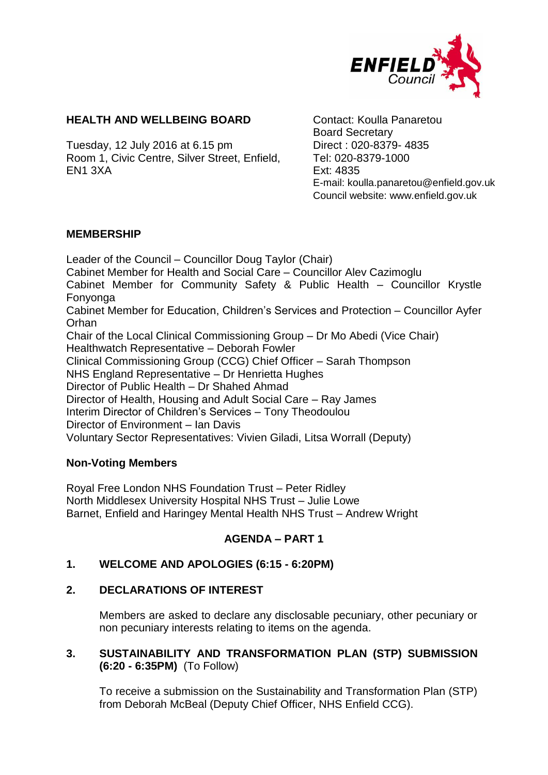

### **HEALTH AND WELLBEING BOARD** Contact: Koulla Panaretou

Tuesday, 12 July 2016 at 6.15 pm Direct : 020-8379- 4835 Room 1, Civic Centre, Silver Street, Enfield, EN1 3XA

Board Secretary Tel: 020-8379-1000 Ext: 4835 E-mail: koulla.panaretou@enfield.gov.uk Council website: www.enfield.gov.uk

### **MEMBERSHIP**

Leader of the Council – Councillor Doug Taylor (Chair) Cabinet Member for Health and Social Care – Councillor Alev Cazimoglu Cabinet Member for Community Safety & Public Health – Councillor Krystle Fonyonga Cabinet Member for Education, Children's Services and Protection – Councillor Ayfer Orhan Chair of the Local Clinical Commissioning Group – Dr Mo Abedi (Vice Chair) Healthwatch Representative – Deborah Fowler Clinical Commissioning Group (CCG) Chief Officer – Sarah Thompson NHS England Representative – Dr Henrietta Hughes Director of Public Health – Dr Shahed Ahmad Director of Health, Housing and Adult Social Care – Ray James Interim Director of Children's Services – Tony Theodoulou Director of Environment – Ian Davis Voluntary Sector Representatives: Vivien Giladi, Litsa Worrall (Deputy)

### **Non-Voting Members**

Royal Free London NHS Foundation Trust – Peter Ridley North Middlesex University Hospital NHS Trust – Julie Lowe Barnet, Enfield and Haringey Mental Health NHS Trust – Andrew Wright

# **AGENDA – PART 1**

### **1. WELCOME AND APOLOGIES (6:15 - 6:20PM)**

### **2. DECLARATIONS OF INTEREST**

Members are asked to declare any disclosable pecuniary, other pecuniary or non pecuniary interests relating to items on the agenda.

## **3. SUSTAINABILITY AND TRANSFORMATION PLAN (STP) SUBMISSION (6:20 - 6:35PM)** (To Follow)

To receive a submission on the Sustainability and Transformation Plan (STP) from Deborah McBeal (Deputy Chief Officer, NHS Enfield CCG).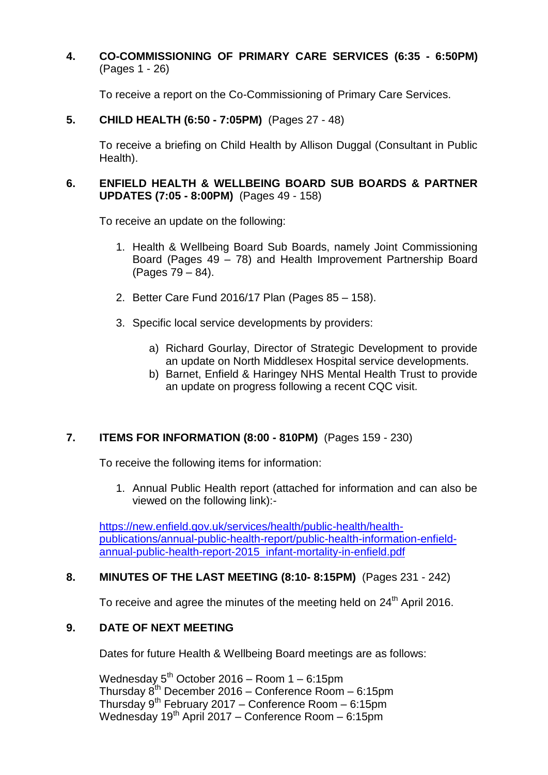**4. CO-COMMISSIONING OF PRIMARY CARE SERVICES (6:35 - 6:50PM)**  (Pages 1 - 26)

To receive a report on the Co-Commissioning of Primary Care Services.

**5. CHILD HEALTH (6:50 - 7:05PM)** (Pages 27 - 48)

To receive a briefing on Child Health by Allison Duggal (Consultant in Public Health).

## **6. ENFIELD HEALTH & WELLBEING BOARD SUB BOARDS & PARTNER UPDATES (7:05 - 8:00PM)** (Pages 49 - 158)

To receive an update on the following:

- 1. Health & Wellbeing Board Sub Boards, namely Joint Commissioning Board (Pages 49 – 78) and Health Improvement Partnership Board (Pages 79 – 84).
- 2. Better Care Fund 2016/17 Plan (Pages 85 158).
- 3. Specific local service developments by providers:
	- a) Richard Gourlay, Director of Strategic Development to provide an update on North Middlesex Hospital service developments.
	- b) Barnet, Enfield & Haringey NHS Mental Health Trust to provide an update on progress following a recent CQC visit.

# **7. ITEMS FOR INFORMATION (8:00 - 810PM)** (Pages 159 - 230)

To receive the following items for information:

1. Annual Public Health report (attached for information and can also be viewed on the following link):-

[https://new.enfield.gov.uk/services/health/public-health/health](https://new.enfield.gov.uk/services/health/public-health/health-publications/annual-public-health-report/public-health-information-enfield-annual-public-health-report-2015_infant-mortality-in-enfield.pdf)[publications/annual-public-health-report/public-health-information-enfield](https://new.enfield.gov.uk/services/health/public-health/health-publications/annual-public-health-report/public-health-information-enfield-annual-public-health-report-2015_infant-mortality-in-enfield.pdf)[annual-public-health-report-2015\\_infant-mortality-in-enfield.pdf](https://new.enfield.gov.uk/services/health/public-health/health-publications/annual-public-health-report/public-health-information-enfield-annual-public-health-report-2015_infant-mortality-in-enfield.pdf)

# **8. MINUTES OF THE LAST MEETING (8:10- 8:15PM)** (Pages 231 - 242)

To receive and agree the minutes of the meeting held on 24<sup>th</sup> April 2016.

# **9. DATE OF NEXT MEETING**

Dates for future Health & Wellbeing Board meetings are as follows:

Wednesday  $5^{th}$  October 2016 – Room 1 – 6:15pm Thursday  $8^{th}$  December 2016 – Conference Room – 6:15pm Thursday  $9^{th}$  February 2017 – Conference Room – 6:15pm Wednesday  $19<sup>th</sup>$  April 2017 – Conference Room – 6:15pm